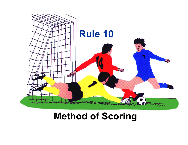

# **Method of Scoring**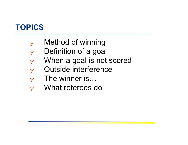### **TOPICS**

- $\mathbf{y}$  Method of winning
- $\mathbf y$  Definition of a goal
- $\mathbf{y}$  When a goal is not scored
- ❖ Outside interference
- $\mathbf{y}$  The winner is...
- ❖ What referees do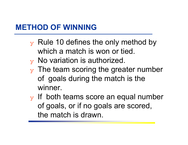### **METHOD OF WINNING**

- $\mathbf y$  Rule 10 defines the only method by which a match is won or tied.
- $_{\rm V}$  No variation is authorized.
- $\mathbf y$  The team scoring the greater number of goals during the match is the winner.
- $\mathbf y$  If both teams score an equal number of goals, or if no goals are scored, the match is drawn.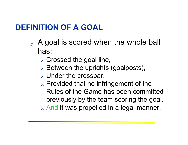### **DEFINITION OF A GOAL**

- $\mathbf y$  A goal is scored when the whole ball has:
	- $_\mathrm{\text{x}}$  Crossed the goal line,
	- $\mathrm{\mathbf{x}}\,$  Between the uprights (goalposts),
	- $_\mathrm{\text{x}}$  Under the crossbar.
	- $\mathrm{_{\mathrm{x}}}$  Provided that no infringement of the  $\mathrm{_{\mathrm{x}}}$ Rules of the Game has been committed previously by the team scoring the goal.
	- $\rm{_{x}}$  And it was propelled in a legal manner.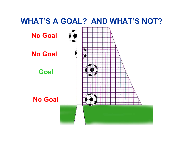#### **WHAT'S A GOAL? AND WHAT'S NOT?**

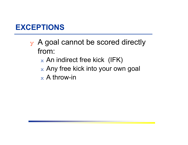### **EXCEPTIONS**

- $\mathbf y$  A goal cannot be scored directly from:
	- $_\mathrm{\text{x}}$  An indirect free kick (IFK)
	- $\rm{_{\rm x}}$  Any free kick into your own goal
	- $_\mathrm{\text{x}}$  A throw-in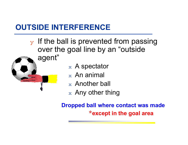## **OUTSIDE INTERFERENCE**

- $\mathbf y$  If the ball is prevented from passing over the goal line by an "outside agent"
	- $\mathrm{_{\mathbf{\mathbf{\mathbf{}}}}}$  A spectator
		- $_\mathrm{\text{x}}\,$  An animal
		- $_\mathrm{\text{x}}\,$  Another ball
		- $_\mathrm{\text{x}}\,$  Any other thing

**\*except in the goal area Dropped ball where contact was made**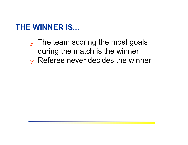### **THE WINNER IS...**

 $_Y$  The team scoring the most goals during the match is the winner  $\mathbf v$  Referee never decides the winner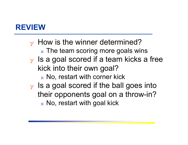### **REVIEW**

 $\mathbf y$  How is the winner determined?  $\rm{_{x}}$  The team scoring more goals wins  $\mathbf y$  Is a goal scored if a team kicks a free kick into their own goal?

 $\rm{_{\rm x}}$  No, restart with corner kick

 $\mathbf v$  Is a goal scored if the ball goes into their opponents goal on a throw-in?  $\rm{_{\rm x}}$  No, restart with goal kick